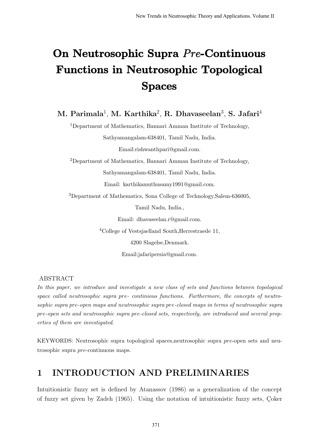# On Neutrosophic Supra Pre-Continuous Functions in Neutrosophic Topological Spaces

M. Parimala<sup>1</sup>, M. Karthika<sup>2</sup>, R. Dhavaseelan<sup>3</sup>, S. Jafari<sup>4</sup>

<sup>1</sup>Department of Mathematics, Bannari Amman Institute of Technology, Sathyamangalam-638401, Tamil Nadu, India. Email:rishwanthpari@gmail.com. <sup>2</sup>Department of Mathematics, Bannari Amman Institute of Technology, Sathyamangalam-638401, Tamil Nadu, India. Email: karthikamuthusamy1991@gmail.com.

<sup>3</sup>Department of Mathematics, Sona College of Technology,Salem-636005,

Tamil Nadu, India.,

Email: dhavaseelan.r@gmail.com.

<sup>4</sup>College of Vestsjaelland South, Herrestraede 11,

4200 Slagelse,Denmark.

Email:jafaripersia@gmail.com.

ABSTRACT

In this paper, we introduce and investigate a new class of sets and functions between topological space called neutrosophic supra pre- continious functions. Furthermore, the concepts of neutrosophic supra pre-open maps and neutrosophic supra pre-closed maps in terms of neutrosophic supra pre-open sets and neutrosophic supra pre-closed sets, respectively, are introduced and several properties of them are investigated.

KEYWORDS: Neutrosophic supra topological spaces,neutrosophic supra pre-open sets and neutrosophic supra pre-continuous maps.

### 1 INTRODUCTION AND PRELIMINARIES

Intuitionistic fuzzy set is defined by Atanassov (1986) as a generalization of the concept of fuzzy set given by Zadeh (1965). Using the notation of intuitionistic fuzzy sets, Coker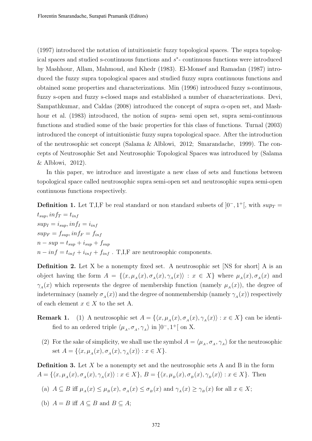(1997) introduced the notation of intuitionistic fuzzy topological spaces. The supra topological spaces and studied s-continuous functions and s ∗ - continuous functions were introduced by Mashhour, Allam, Mahmoud, and Khedr (1983). El-Monsef and Ramadan (1987) introduced the fuzzy supra topological spaces and studied fuzzy supra continuous functions and obtained some properties and characterizations. Min (1996) introduced fuzzy s-continuous, fuzzy s-open and fuzzy s-closed maps and established a number of characterizations. Devi, Sampathkumar, and Caldas (2008) introduced the concept of supra  $\alpha$ -open set, and Mashhour et al. (1983) introduced, the notion of supra- semi open set, supra semi-continuous functions and studied some of the basic properties for this class of functions. Turnal (2003) introduced the concept of intuitionistic fuzzy supra topological space. After the introduction of the neutrosophic set concept (Salama & Alblowi, 2012; Smarandache, 1999). The concepts of Neutrosophic Set and Neutrosophic Topological Spaces was introduced by (Salama & Alblowi, 2012).

In this paper, we introduce and investigate a new class of sets and functions between topological space called neutrosophic supra semi-open set and neutrosophic supra semi-open continuous functions respectively.

**Definition 1.** Let T,I,F be real standard or non standard subsets of  $]0^-$ ,  $1^+$ [, with  $sup_T =$  $t_{sup}$ , in  $f_T = t_{inf}$  $sup_I = i_{sup}, inf_I = i_{inf}$  $sup_F = f_{sup}$ ,  $inf_F = f_{inf}$ 

 $n - sup = t_{sup} + i_{sup} + f_{sup}$  $n - inf = t_{inf} + i_{inf} + f_{inf}$ . T,I,F are neutrosophic components.

Definition 2. Let X be a nonempty fixed set. A neutrosophic set [NS for short] A is an object having the form  $A = \{ \langle x, \mu_A(x), \sigma_A(x), \gamma_A(x) \rangle : x \in X \}$  where  $\mu_A(x), \sigma_A(x)$  and  $\gamma_A(x)$  which represents the degree of membership function (namely  $\mu_A(x)$ ), the degree of indeterminacy (namely  $\sigma_A(x)$ ) and the degree of nonmembership (namely  $\gamma_A(x)$ ) respectively of each element  $x \in X$  to the set A.

- **Remark 1.** (1) A neutrosophic set  $A = \{ \langle x, \mu_A(x), \sigma_A(x), \gamma_A(x) \rangle : x \in X \}$  can be identified to an ordered triple  $\langle \mu_A, \sigma_A, \gamma_A \rangle$  in  $]0^-, 1^+[$  on X.
	- (2) For the sake of simplicity, we shall use the symbol  $A = \langle \mu_A, \sigma_A, \gamma_A \rangle$  for the neutrosophic set  $A = \{ \langle x, \mu_A(x), \sigma_A(x), \gamma_A(x) \rangle : x \in X \}.$

**Definition 3.** Let  $X$  be a nonempty set and the neutrosophic sets  $A$  and  $B$  in the form  $A = \{ \langle x, \mu_A(x), \sigma_A(x), \gamma_A(x) \rangle : x \in X \}, B = \{ \langle x, \mu_B(x), \sigma_B(x), \gamma_B(x) \rangle : x \in X \}.$  Then

(a) 
$$
A \subseteq B
$$
 iff  $\mu_A(x) \leq \mu_B(x)$ ,  $\sigma_A(x) \leq \sigma_B(x)$  and  $\gamma_A(x) \geq \gamma_B(x)$  for all  $x \in X$ ;

(b)  $A = B$  iff  $A \subseteq B$  and  $B \subseteq A$ ;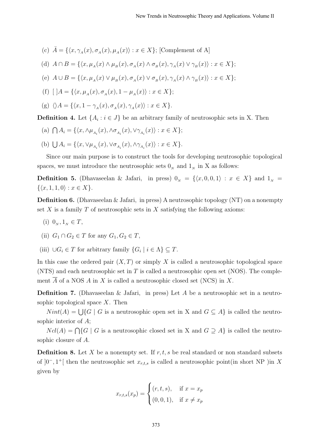- (c)  $\bar{A} = \{ \langle x, \gamma_A(x), \sigma_A(x), \mu_A(x) \rangle : x \in X \};$  [Complement of A]
- (d)  $A \cap B = \{ \langle x, \mu_A(x) \land \mu_B(x), \sigma_A(x) \land \sigma_B(x), \gamma_A(x) \lor \gamma_B(x) \rangle : x \in X \};$
- (e)  $A \cup B = \{ \langle x, \mu_A(x) \vee \mu_B(x), \sigma_A(x) \vee \sigma_B(x), \gamma_A(x) \wedge \gamma_B(x) \rangle : x \in X \};$

(f) 
$$
[A] = \{ \langle x, \mu_A(x), \sigma_A(x), 1 - \mu_A(x) \rangle : x \in X \};
$$

(g)  $\langle A = {\langle x, 1 - \gamma_A(x), \sigma_A(x), \gamma_A(x) \rangle : x \in X}$ .

**Definition 4.** Let  $\{A_i : i \in J\}$  be an arbitrary family of neutrosophic sets in X. Then

- (a)  $\bigcap A_i = \{ \langle x, \wedge \mu_{A_i}(x), \wedge \sigma_{A_i}(x), \vee \gamma_{A_i}(x) \rangle : x \in X \};$
- (b)  $\bigcup A_i = \{ \langle x, \vee \mu_{A_i}(x), \vee \sigma_{A_i}(x), \wedge \gamma_{A_i}(x) \rangle : x \in X \}.$

Since our main purpose is to construct the tools for developing neutrosophic topological spaces, we must introduce the neutrosophic sets  $0<sub>N</sub>$  and  $1<sub>N</sub>$  in X as follows:

**Definition 5.** (Dhavaseelan & Jafari, in press)  $0_N = \{\langle x, 0, 0, 1 \rangle : x \in X\}$  and  $1_N =$  $\{\langle x, 1, 1, 0 \rangle : x \in X\}.$ 

**Definition 6.** (Dhavaseelan & Jafari, in press) A neutrosophic topology  $(NT)$  on a nonempty set X is a family T of neutrosophic sets in X satisfying the following axioms:

- (i)  $0_N, 1_N \in T$ ,
- (ii)  $G_1 \cap G_2 \in T$  for any  $G_1, G_2 \in T$ ,
- (iii)  $\bigcup G_i \in T$  for arbitrary family  $\{G_i \mid i \in \Lambda\} \subseteq T$ .

In this case the ordered pair  $(X, T)$  or simply X is called a neutrosophic topological space  $(NTS)$  and each neutrosophic set in T is called a neutrosophic open set  $(NOS)$ . The complement  $\overline{A}$  of a NOS A in X is called a neutrosophic closed set (NCS) in X.

**Definition 7.** (Dhavaseelan & Jafari, in press) Let A be a neutrosophic set in a neutrosophic topological space  $X$ . Then

 $Nint(A) = \bigcup \{G \mid G$  is a neutrosophic open set in X and  $G \subseteq A\}$  is called the neutrosophic interior of A;

 $Ncl(A) = \bigcap \{G \mid G$  is a neutrosophic closed set in X and  $G \supseteq A\}$  is called the neutrosophic closure of A.

**Definition 8.** Let X be a nonempty set. If  $r, t, s$  be real standard or non standard subsets of  $]0^-, 1^+[$  then the neutrosophic set  $x_{r,t,s}$  is called a neutrosophic point(in short NP) in X given by

$$
x_{r,t,s}(x_p) = \begin{cases} (r, t, s), & \text{if } x = x_p \\ (0, 0, 1), & \text{if } x \neq x_p \end{cases}
$$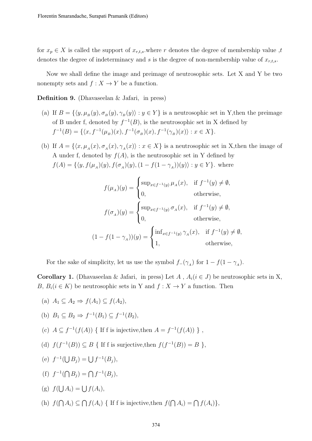for  $x_p \in X$  is called the support of  $x_{r,t,s}$ , where r denotes the degree of membership value, denotes the degree of indeterminacy and s is the degree of non-membership value of  $x_{r,t,s}$ .

Now we shall define the image and preimage of neutrosophic sets. Let X and Y be two nonempty sets and  $f : X \to Y$  be a function.

**Definition 9.** (Dhavaseelan  $\&$  Jafari, in press)

- (a) If  $B = \{\langle y, \mu_B(y), \sigma_B(y), \gamma_B(y)\rangle : y \in Y\}$  is a neutrosophic set in Y, then the preimage of B under f, denoted by  $f^{-1}(B)$ , is the neutrosophic set in X defined by  $f^{-1}(B) = \{ \langle x, f^{-1}(\mu_B)(x), f^{-1}(\sigma_B)(x), f^{-1}(\gamma_B)(x) \rangle : x \in X \}.$
- (b) If  $A = \{\langle x, \mu_A(x), \sigma_A(x), \gamma_A(x)\rangle : x \in X\}$  is a neutrosophic set in X, then the image of A under f, denoted by  $f(A)$ , is the neutrosophic set in Y defined by  $f(A) = \{ \langle y, f(\mu_A)(y), f(\sigma_A)(y), (1 - f(1 - \gamma_A))(y) \rangle : y \in Y \}.$  where

$$
f(\mu_A)(y) = \begin{cases} \sup_{x \in f^{-1}(y)} \mu_A(x), & \text{if } f^{-1}(y) \neq \emptyset, \\ 0, & \text{otherwise,} \end{cases}
$$

$$
f(\sigma_A)(y) = \begin{cases} \sup_{x \in f^{-1}(y)} \sigma_A(x), & \text{if } f^{-1}(y) \neq \emptyset, \\ 0, & \text{otherwise,} \end{cases}
$$

$$
(1 - f(1 - \gamma_A))(y) = \begin{cases} \inf_{x \in f^{-1}(y)} \gamma_A(x), & \text{if } f^{-1}(y) \neq \emptyset, \\ 1, & \text{otherwise,} \end{cases}
$$

For the sake of simplicity, let us use the symbol  $f_{-}(\gamma_{A})$  for  $1 - f(1 - \gamma_{A})$ .

Corollary 1. (Dhavaseelan & Jafari, in press) Let A,  $A_i (i \in J)$  be neutrosophic sets in X, B,  $B_i(i \in K)$  be neutrosophic sets in Y and  $f: X \to Y$  a function. Then

(a) 
$$
A_1 \subseteq A_2 \Rightarrow f(A_1) \subseteq f(A_2)
$$
,

(b) 
$$
B_1 \subseteq B_2 \Rightarrow f^{-1}(B_1) \subseteq f^{-1}(B_2)
$$
,

- (c)  $A \subseteq f^{-1}(f(A))$  { If f is injective, then  $A = f^{-1}(f(A))$  },
- (d)  $f(f^{-1}(B)) \subseteq B$  { If f is surjective, then  $f(f^{-1}(B)) = B$  },
- (e)  $f^{-1}(\bigcup B_j) = \bigcup f^{-1}(B_j),$
- (f)  $f^{-1}(\bigcap B_j) = \bigcap f^{-1}(B_j),$

(g) 
$$
f(\bigcup A_i) = \bigcup f(A_i),
$$

(h)  $f(\bigcap A_i) \subseteq \bigcap f(A_i)$  { If f is injective, then  $f(\bigcap A_i) = \bigcap f(A_i)$ },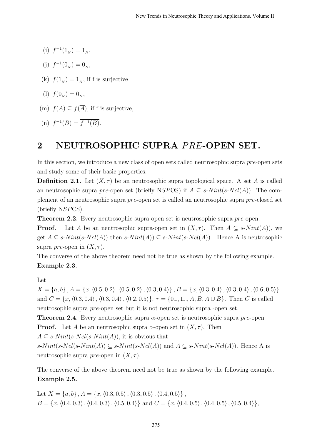- (i)  $f^{-1}(1_N) = 1_N$ ,
- (j)  $f^{-1}(0_N) = 0_N$ ,
- (k)  $f(1_N) = 1_N$ , if f is surjective
- (1)  $f(0_N) = 0_N$ ,
- (m)  $\overline{f(A)} \subseteq f(\overline{A})$ , if f is surjective,

(n) 
$$
f^{-1}(\overline{B}) = \overline{f^{-1}(B)}.
$$

## 2 NEUTROSOPHIC SUPRA PRE-OPEN SET.

In this section, we introduce a new class of open sets called neutrosophic supra pre-open sets and study some of their basic properties.

**Definition 2.1.** Let  $(X, \tau)$  be an neutrosophic supra topological space. A set A is called an neutrosophic supra pre-open set (briefly NSPOS) if  $A \subseteq s\text{-}Nint(s\text{-}Ncl(A))$ . The complement of an neutrosophic supra pre-open set is called an neutrosophic supra pre-closed set (briefly NSPCS).

**Theorem 2.2.** Every neutrosophic supra-open set is neutrosophic supra *pre*-open.

**Proof.** Let A be an neutrosophic supra-open set in  $(X, \tau)$ . Then  $A \subseteq s\text{-}Nint(A)$ , we get  $A \subseteq s\text{-}Nint(s\text{-}Ncl(A))$  then  $s\text{-}Nint(A)) \subseteq s\text{-}Nint(s\text{-}Ncl(A))$ . Hence A is neutrosophic supra *pre*-open in  $(X, \tau)$ .

The converse of the above theorem need not be true as shown by the following example. Example 2.3.

#### Let

 $X = \{a, b\}, A = \{x, \langle 0.5, 0.2 \rangle, \langle 0.5, 0.2 \rangle, \langle 0.3, 0.4 \rangle\}, B = \{x, \langle 0.3, 0.4 \rangle, \langle 0.3, 0.4 \rangle, \langle 0.6, 0.5 \rangle\}$ and  $C = \{x, \langle 0.3, 0.4 \rangle, \langle 0.3, 0.4 \rangle, \langle 0.2, 0.5 \rangle\}, \tau = \{0, 1, 1, 0, A, B, A \cup B\}.$  Then C is called neutrosophic supra pre-open set but it is not neutrosophic supra -open set.

**Theorem 2.4.** Every neutrosophic supra  $\alpha$ -open set is neutrosophic supra pre-open **Proof.** Let A be an neutrosophic supra  $\alpha$ -open set in  $(X, \tau)$ . Then  $A \subseteq s\text{-}Nint(s\text{-}Ncl(s\text{-}Nint(A)),$  it is obvious that s- $Nint(s-Ncl(s-Nint(A)) \subseteq s-Nint(s-Ncl(A))$  and  $A \subseteq s-Nint(s-Ncl(A))$ . Hence A is neutrosophic supra *pre*-open in  $(X, \tau)$ .

The converse of the above theorem need not be true as shown by the following example. Example 2.5.

Let  $X = \{a, b\}$ ,  $A = \{x, (0.3, 0.5), (0.3, 0.5), (0.4, 0.5)\}\$ ,  $B = \{x, \langle 0.4, 0.3 \rangle, \langle 0.4, 0.3 \rangle, \langle 0.5, 0.4 \rangle\}$  and  $C = \{x, \langle 0.4, 0.5 \rangle, \langle 0.4, 0.5 \rangle, \langle 0.5, 0.4 \rangle\},$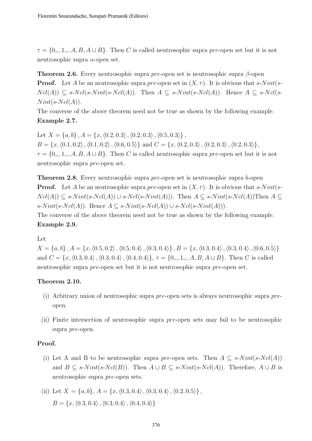$\tau = \{0, 1, 1, 2, A, B, A \cup B\}$ . Then C is called neutrosophic supra pre-open set but it is not neutrosophic supra  $\alpha$ -open set.

**Theorem 2.6.** Every neutrosophic supra pre-open set is neutrosophic supra  $\beta$ -open **Proof.** Let A be an neutrosophic supra pre-open set in  $(X, \tau)$ . It is obvious that s-Nint(s- $Ncl(A)) \subseteq s\text{-}Ncl(s\text{-}Nint(s\text{-}Ncl(A)).$  Then  $A \subseteq s\text{-}Nint(s\text{-}Ncl(A)).$  Hence  $A \subseteq s\text{-}Ncl(s\text{-}Ncl(A)).$  $Nint(s-Ncl(A)).$ 

The converse of the above theorem need not be true as shown by the following example. Example 2.7.

Let  $X = \{a, b\}$ ,  $A = \{x, \langle 0.2, 0.3 \rangle, \langle 0.2, 0.3 \rangle, \langle 0.5, 0.3 \rangle\}$ .  $B = \{x, \langle 0.1, 0.2 \rangle, \langle 0.1, 0.2 \rangle, \langle 0.6, 0.5 \rangle\}$  and  $C = \{x, \langle 0.2, 0.3 \rangle, \langle 0.2, 0.3 \rangle, \langle 0.2, 0.3 \rangle\},$  $\tau = \{0, 1, 1, 2, A, B, A \cup B\}$ . Then C is called neutrosophic supra pre-open set but it is not neutrosophic supra pre-open set.

**Theorem 2.8.** Every neutrosophic supra pre-open set is neutrosophic supra b-open **Proof.** Let A be an neutrosophic supra pre-open set in  $(X, \tau)$ . It is obvious that s-Nint(s- $Ncl(A) \subseteq s\text{-}Nint(s\text{-}Ncl(s\text{-}Nint(A)))$ . Then  $A \subseteq s\text{-}Nint(s\text{-}Ncl(A))$  Then  $A \subseteq s\text{-}Nint(s\text{-}Ncl(A))$ s-N int(s-Ncl(A)). Hence  $A \subseteq s$ -N int(s-Ncl(A)) ∪ s-Ncl(s-N int(A))).

The converse of the above theorem need not be true as shown by the following example. Example 2.9.

Let

 $X = \{a, b\}, A = \{x, \langle 0.5, 0.2 \rangle, \langle 0.5, 0.4 \rangle, \langle 0.3, 0.4 \rangle\}, B = \{x, \langle 0.3, 0.4 \rangle, \langle 0.3, 0.4 \rangle, \langle 0.6, 0.5 \rangle\}$ and  $C = \{x, \langle 0.3, 0.4 \rangle, \langle 0.3, 0.4 \rangle, \langle 0.4, 0.4 \rangle\}, \tau = \{0, 1, 1, 0, A, B, A \cup B\}.$  Then C is called neutrosophic supra pre-open set but it is not neutrosophic supra pre-open set.

#### Theorem 2.10.

- (i) Arbitrary union of neutrosophic supra pre-open sets is always neutrosophic supra preopen.
- (ii) Finite intersection of neutrosophic supra pre-open sets may fail to be neutrosophic supra pre-open.

#### Proof.

- (i) Let A and B to be neutrosophic supra pre-open sets. Then  $A \subseteq s\text{-}Nint(s\text{-}Ncl(A))$ and  $B \subseteq s\text{-}Nint(s\text{-}Ncl(B))$ . Then  $A \cup B \subseteq s\text{-}Nint(s\text{-}Ncl(A))$ . Therefore,  $A \cup B$  is neutrosophic supra pre-open sets.
- (ii) Let  $X = \{a, b\}, A = \{x, \langle 0.3, 0.4 \rangle, \langle 0.3, 0.4 \rangle, \langle 0.2, 0.5 \rangle\},\$  $B = \{x, \langle 0.3, 0.4 \rangle, \langle 0.3, 0.4 \rangle, \langle 0.4, 0.4 \rangle\}$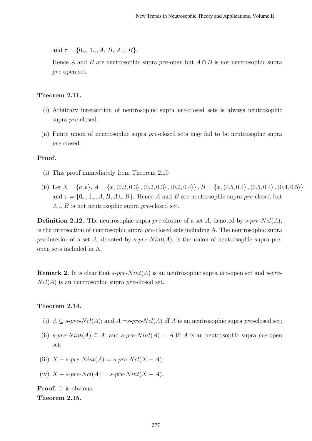and  $\tau = \{0_{\sim}, 1_{\sim}, A, B, A \cup B\}.$ 

Hence A and B are neutrosophic supra pre-open but  $A \cap B$  is not neutrosophic supra pre-open set.

#### Theorem 2.11.

- (i) Arbitrary intersection of neutrosophic supra pre-closed sets is always neutrosophic supra pre-closed.
- (ii) Finite union of neutrosophic supra pre-closed sets may fail to be neutrosophic supra pre-closed.

#### Proof.

- (i) This proof immediately from Theorem 2.10
- (ii) Let  $X = \{a, b\}, A = \{x, (0.2, 0.3), (0.2, 0.3), (0.2, 0.4)\}, B = \{x, (0.5, 0.4), (0.5, 0.4), (0.4, 0.5)\}\$ and  $\tau = \{0, 1, 1, 2, A, B, A \cup B\}$ . Hence A and B are neutrosophic supra pre-closed but  $A \cup B$  is not neutrosophic supra pre-closed set.

**Definition 2.12.** The neutrosophic supra pre-closure of a set A, denoted by  $s$ -pre-Ncl(A), is the intersection of neutrosophic supra pre-closed sets including A. The neutrosophic supra pre-interior of a set A, denoted by s-pre- $Nint(A)$ , is the union of neutrosophic supra preopen sets included in A.

**Remark 2.** It is clear that s-pre-N int(A) is an neutrosophic supra pre-open set and s-pre- $Ncl(A)$  is an neutrosophic supra pre-closed set.

#### Theorem 2.14.

- (i)  $A \subseteq s\text{-}pre\text{-}Ncl(A)$ ; and  $A = s\text{-}pre\text{-}Ncl(A)$  iff A is an neutrosophic supra pre-closed set;
- (ii) s-pre-N int(A)  $\subset A$ ; and s-pre-N int(A) = A iff A is an neutrosophic supra pre-open set;
- (iii)  $X s$ -pre-Nint(A) = s-pre-Ncl(X A);
- (iv)  $X s$ -pre-Ncl(A) = s-pre-Nint(X A).

Proof. It is obvious. Theorem 2.15.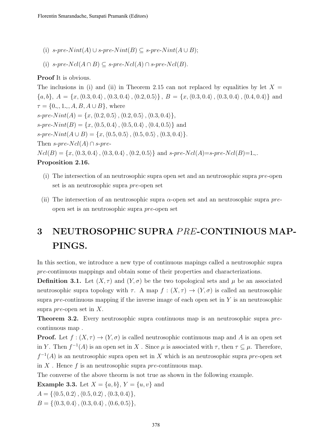- (i) s-pre-N int(A) ∪ s-pre-N int(B)  $\subseteq$  s-pre-N int(A ∪ B);
- (i) s-pre- $Ncl(A \cap B) \subseteq s$ -pre- $Ncl(A) \cap s$ -pre- $Ncl(B)$ .

#### Proof It is obvious.

The inclusions in (i) and (ii) in Theorem 2.15 can not replaced by equalities by let  $X =$  ${a, b}, A = {x, (0.3, 0.4), (0.3, 0.4), (0.2, 0.5)}, B = {x, (0.3, 0.4), (0.3, 0.4), (0.4, 0.4)}$  and  $\tau = \{0, 1, 1, A, B, A \cup B\}$ , where  $s\text{-}pre\text{-}Nint(A) = \{x, \langle 0.2, 0.5 \rangle, \langle 0.2, 0.5 \rangle, \langle 0.3, 0.4 \rangle\},\$  $s\text{-}pre\text{-}Nint(B) = \{x, \langle 0.5, 0.4 \rangle, \langle 0.5, 0.4 \rangle, \langle 0.4, 0.5 \rangle\}$  and s-pre-N int $(A \cup B) = \{x, \langle 0.5, 0.5 \rangle, \langle 0.5, 0.5 \rangle, \langle 0.3, 0.4 \rangle\}.$ Then s-pre- $Ncl(A) \cap s$ -pre- $Ncl(B) = \{x, \langle 0.3, 0.4 \rangle, \langle 0.3, 0.4 \rangle, \langle 0.2, 0.5 \rangle\}$  and s-pre-Ncl(A)=s-pre-Ncl(B)=1∼. Proposition 2.16.

- (i) The intersection of an neutrosophic supra open set and an neutrosophic supra pre-open set is an neutrosophic supra pre-open set
- (ii) The intersection of an neutrosophic supra  $\alpha$ -open set and an neutrosophic supra preopen set is an neutrosophic supra pre-open set

## 3 NEUTROSOPHIC SUPRA PRE-CONTINIOUS MAP-PINGS.

In this section, we introduce a new type of continuous mapings called a neutrosophic supra pre-continuous mappings and obtain some of their properties and characterizations.

**Definition 3.1.** Let  $(X, \tau)$  and  $(Y, \sigma)$  be the two topological sets and  $\mu$  be an associated neutrosophic supra topology with  $\tau$ . A map  $f : (X, \tau) \to (Y, \sigma)$  is called an neutrosophic supra  $pre$ -continuous mapping if the inverse image of each open set in  $Y$  is an neutrosophic supra *pre*-open set in  $X$ .

**Theorem 3.2.** Every neutrosophic supra continuous map is an neutrosophic supra precontinuous map .

**Proof.** Let  $f : (X, \tau) \to (Y, \sigma)$  is called neutrosophic continuous map and A is an open set in Y. Then  $f^{-1}(A)$  is an open set in X. Since  $\mu$  is associated with  $\tau$ , then  $\tau \subseteq \mu$ . Therefore,  $f^{-1}(A)$  is an neutrosophic supra open set in X which is an neutrosophic supra pre-open set in  $X$ . Hence f is an neutrosophic supra pre-continuous map.

The converse of the above theorm is not true as shown in the following example.

**Example 3.3.** Let  $X = \{a, b\}$ ,  $Y = \{u, v\}$  and

 $A = \{ \langle 0.5, 0.2 \rangle, \langle 0.5, 0.2 \rangle, \langle 0.3, 0.4 \rangle \},\$ 

 $B = \{\langle 0.3, 0.4 \rangle, \langle 0.3, 0.4 \rangle, \langle 0.6, 0.5 \rangle\},\$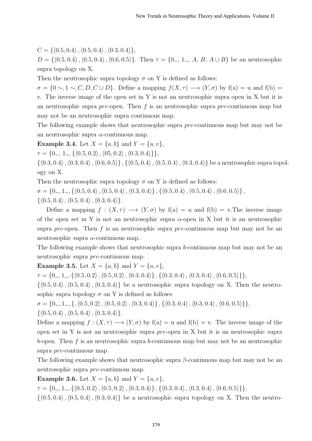$C = \{ \langle 0.5, 0.4 \rangle, \langle 0.5, 0.4 \rangle, \langle 0.3, 0.4 \rangle \},\$ 

 $D = \{ (0.5, 0.4), (0.5, 0.4), (0.6, 0.5) \}.$  Then  $\tau = \{0_{\sim}, 1_{\sim}, A, B, A \cup B \}$  be an neutrosophic supra topology on X.

Then the neutrosophic supra topology  $\sigma$  on Y is defined as follows:

 $\sigma = \{0 \sim 0.1 \sim C, D, C \cup D\}$ . Define a mapping  $f(X, \tau) \longrightarrow (Y, \sigma)$  by  $f(a) = u$  and  $f(b) =$ v. The inverse image of the open set in Y is not an neutrosophic supra open in X but it is an neutrosophic supra pre-open. Then f is an neutrosophic supra pre-continuous map but may not be an neutrosophic supra continuous map.

The following example shows that neutrosophic supra pre-continuous map but may not be an neutrosophic supra  $\alpha$ -continuous map.

**Example 3.4.** Let  $X = \{a, b\}$  and  $Y = \{u, v\}$ ,

 $\tau = \{0, 1, 1, \{(0.5, 0.2), (0.5, 0.2), (0.3, 0.4)\}\},\$ 

 $\{\langle 0.3, 0.4\rangle, \langle 0.3, 0.4\rangle, \langle 0.6, 0.5\rangle\}, \{\langle 0.5, 0.4\rangle, \langle 0.5, 0.4\rangle, \langle 0.3, 0.4\rangle\}$  be a neutrosophic supra topology on X.

Then the neutrosophic supra topology  $\sigma$  on Y is defined as follows:

 $\sigma = \{0, 1, 1, \{0.5, 0.4\}, \{0.5, 0.4\}, \{0.3, 0.4\}\}, \{(0.5, 0.4), \{0.5, 0.4\}, \{0.6, 0.5\}\},$ 

 $\{\langle 0.5, 0.4 \rangle, \langle 0.5, 0.4 \rangle, \langle 0.3, 0.4 \rangle\}.$ 

Define a mapping  $f : (X, \tau) \longrightarrow (Y, \sigma)$  by  $f(a) = u$  and  $f(b) = v$ . The inverse image of the open set in Y is not an neutrosophic supra  $\alpha$ -open in X but it is an neutrosophic supra pre-open. Then f is an neutrosophic supra pre-continuous map but may not be an neutrosophic supra  $\alpha$ -continuous map.

The following example shows that neutrosophic supra b-continuous map but may not be an neutrosophic supra pre-continuous map.

**Example 3.5.** Let  $X = \{a, b\}$  and  $Y = \{u, v\}$ ,

τ = {0∼, 1∼, {h0.5, 0.2i,h0.5, 0.2i,h0.3, 0.4i} , {h0.3, 0.4i,h0.3, 0.4i,h0.6, 0.5i}},

 $\{(0.5, 0.4), (0.5, 0.4), (0.3, 0.4)\}\$ be a neutrosophic supra topology on X. Then the neutrosophic supra topology  $\sigma$  on Y is defined as follows:

 $\sigma = \{0, 1, 1, 1, 0, 1, 0.5, 0.2\}, \langle 0.5, 0.2, 0.4, 0.3, 0.4, 0.3, 0.4, 0.3, 0.4, 0.6, 0.5, 0.5\}\},$  $\{\langle 0.5, 0.4 \rangle, \langle 0.5, 0.4 \rangle, \langle 0.3, 0.4 \rangle\}.$ 

Define a mapping  $f : (X, \tau) \longrightarrow (Y, \sigma)$  by  $f(a) = u$  and  $f(b) = v$ . The inverse image of the open set in Y is not an neutrosophic supra pre-open in X but it is an neutrosophic supra b-open. Then  $f$  is an neutrosophic supra b-continuous map but may not be an neutrosophic supra pre-continuous map.

The following example shows that neutrosophic supra  $\beta$ -continuous map but may not be an neutrosophic supra pre-continuous map.

**Example 3.6.** Let  $X = \{a, b\}$  and  $Y = \{u, v\}$ ,

 $\tau = \{0, 1, 1, \{\langle 0.5, 0.2 \rangle, \langle 0.5, 0.2 \rangle, \langle 0.3, 0.4 \rangle\}, \{\langle 0.3, 0.4 \rangle, \langle 0.3, 0.4 \rangle, \langle 0.6, 0.5 \rangle\}\},$ 

 $\{(0.5, 0.4), (0.5, 0.4), (0.3, 0.4)\}\$ be a neutrosophic supra topology on X. Then the neutro-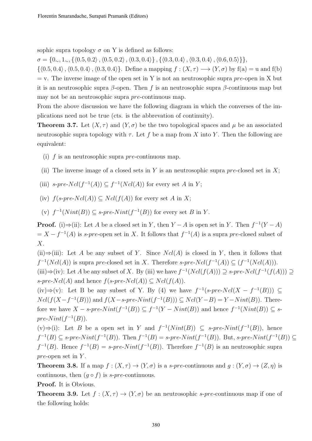sophic supra topology  $\sigma$  on Y is defined as follows:

σ = {0∼, 1∼, {h0.5, 0.2i,h0.5, 0.2i,h0.3, 0.4i} , {h0.3, 0.4i,h0.3, 0.4i,h0.6, 0.5i}},

 $\{(0.5, 0.4), (0.5, 0.4), (0.3, 0.4)\}.$  Define a mapping  $f : (X, \tau) \longrightarrow (Y, \sigma)$  by  $f(a) = u$  and  $f(b)$  $=$  v. The inverse image of the open set in Y is not an neutrosophic supra pre-open in X but it is an neutrosophic supra  $\beta$ -open. Then f is an neutrosophic supra  $\beta$ -continuous map but may not be an neutrosophic supra pre-continuous map.

From the above discussion we have the following diagram in which the converses of the implications need not be true (cts. is the abbrevation of continuity).

**Theorem 3.7.** Let  $(X, \tau)$  and  $(Y, \sigma)$  be the two topological spaces and  $\mu$  be an associated neutrosophic supra topology with  $\tau$ . Let f be a map from X into Y. Then the following are equivalent:

- (i) f is an neutrosophic supra pre-continuous map.
- (ii) The inverse image of a closed sets in Y is an neutrosophic supra  $pre$ -closed set in X;
- (iii) s-pre- $Ncl(f^{-1}(A)) \subseteq f^{-1}(Ncl(A))$  for every set A in Y;

(iv) 
$$
f(s\text{-}pre\text{-}Ncl(A)) \subseteq Ncl(f(A))
$$
 for every set A in X;

(v)  $f^{-1}(Nint(B)) \subseteq s\text{-}pre-Nint(f^{-1}(B))$  for every set B in Y.

**Proof.** (i) $\Rightarrow$ (ii): Let A be a closed set in Y, then Y – A is open set in Y. Then  $f^{-1}(Y - A)$  $= X - f^{-1}(A)$  is s-pre-open set in X. It follows that  $f^{-1}(A)$  is a supra pre-closed subset of X.

(ii)⇒(iii): Let A be any subset of Y. Since  $Ncl(A)$  is closed in Y, then it follows that  $f^{-1}(Ncl(A))$  is supra pre-closed set in X. Therefore s-pre- $Ncl(f^{-1}(A)) \subseteq (f^{-1}(Ncl(A))).$ (iii)  $\Rightarrow$  (iv): Let A be any subset of X. By (iii) we have  $f^{-1}(Ncl(f(A))) \supseteq s-pre-Ncl(f^{-1}(f(A))) \supseteq$ 

s-pre-Ncl(A) and hence  $f(s\text{-}pre\text{-}Ncl(A)) \subseteq Ncl(f(A)).$ 

(iv)⇒(v): Let B be any subset of Y. By (4) we have  $f^{-1}(s\text{-}pre\text{-}Ncl(X - f^{-1}(B)))$  ⊆  $Ncl(f(X - f^{-1}(B)))$  and  $f(X - s\text{-}pre\text{-}Nint(f^{-1}(B))) \subseteq Ncl(Y - B) = Y - Nint(B))$ . Therefore we have  $X$  – s-pre- $Nint(f^{-1}(B)) \subseteq f^{-1}(Y - Nint(B))$  and hence  $f^{-1}(Nint(B)) \subseteq s$  $pre-Nint(f^{-1}(B)).$ 

(v)⇒(i): Let B be a open set in Y and  $f^{-1}(Nint(B)) \subseteq s\text{-}pre-Nint(f^{-1}(B))$ , hence  $f^{-1}(B) \subseteq s\text{-}pre-Nint(f^{-1}(B))$ . Then  $f^{-1}(B) = s\text{-}pre-Nint(f^{-1}(B))$ . But,  $s\text{-}pre-Nint(f^{-1}(B)) \subseteq s$  $f^{-1}(B)$ . Hence  $f^{-1}(B) = s$ -pre-Nint $(f^{-1}(B))$ . Therefore  $f^{-1}(B)$  is an neutrosophic supra  $pre$ -open set in  $Y$ .

**Theorem 3.8.** If a map  $f : (X, \tau) \to (Y, \sigma)$  is a s-pre-continuous and  $g : (Y, \sigma) \to (Z, \eta)$  is continuous, then  $(q \circ f)$  is s-pre-continuous.

#### Proof. It is Obvious.

**Theorem 3.9.** Let  $f : (X, \tau) \to (Y, \sigma)$  be an neutrosophic s-pre-continuous map if one of the following holds: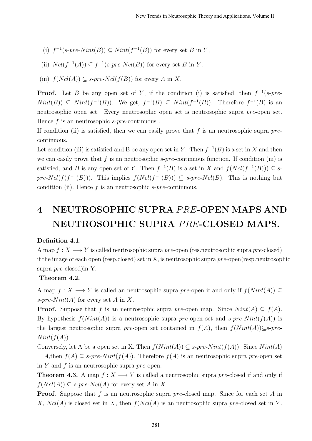- (i)  $f^{-1}(s\text{-}pre\text{-}Nint(B)) \subseteq Nint(f^{-1}(B))$  for every set B in Y,
- (ii)  $Ncl(f^{-1}(A)) \subseteq f^{-1}(s\text{-}pre\text{-}Ncl(B))$  for every set B in Y,
- (iii)  $f(Ncl(A)) \subseteq s\text{-pre-N}cl(f(B))$  for every A in X.

**Proof.** Let B be any open set of Y, if the condition (i) is satisfied, then  $f^{-1}(s\text{-}pre\text{-}1)$  $Nint(B)$   $\subseteq$   $Nint(f^{-1}(B))$ . We get,  $f^{-1}(B) \subseteq Nint(f^{-1}(B))$ . Therefore  $f^{-1}(B)$  is an neutrosophic open set. Every neutrosophic open set is neutrosophic supra pre-open set. Hence  $f$  is an neutrosophic  $s$ -pre-continuous.

If condition (ii) is satisfied, then we can easily prove that f is an neutrosophic supra  $pre$ continuous.

Let condition (iii) is satisfied and B be any open set in Y. Then  $f^{-1}(B)$  is a set in X and then we can easily prove that f is an neutrosophic  $s$ -pre-continuous function. If condition (iii) is satisfied, and B is any open set of Y. Then  $f^{-1}(B)$  is a set in X and  $f(Ncl(f^{-1}(B))) \subseteq s$ pre-Ncl( $f(f^{-1}(B))$ ). This implies  $f(Ncl(f^{-1}(B))) \subseteq s$ -pre-Ncl(B). This is nothing but condition (ii). Hence  $f$  is an neutrosophic  $s$ -pre-continuous.

## 4 NEUTROSOPHIC SUPRA PRE-OPEN MAPS AND NEUTROSOPHIC SUPRA PRE-CLOSED MAPS.

#### Definition 4.1.

A map  $f: X \longrightarrow Y$  is called neutrosophic supra pre-open (res.neutrosophic supra pre-closed) if the image of each open (resp.closed) set in X, is neutrosophic supra  $pre$ -open(resp.neutrosophic supra pre-closed)in Y.

#### Theorem 4.2.

A map  $f: X \longrightarrow Y$  is called an neutrosophic supra pre-open if and only if  $f(Nint(A)) \subseteq$ s-pre-Nint(A) for every set A in X.

**Proof.** Suppose that f is an neutrosophic supra pre-open map. Since  $Nint(A) \subseteq f(A)$ . By hypothesis  $f(Nint(A))$  is a neutrosophic supra pre-open set and s-pre-Nint( $f(A)$ ) is the largest neutrosophic supra pre-open set contained in  $f(A)$ , then  $f(Nint(A))\subseteq s-pre$ - $Nint(f(A))$ 

Conversely, let A be a open set in X. Then  $f(Nint(A)) \subseteq s\text{-}pre-Nint(f(A))$ . Since  $Nint(A)$  $= A$ ,then  $f(A) \subseteq s$ -pre-Nint( $f(A)$ ). Therefore  $f(A)$  is an neutrosophic supra pre-open set in Y and f is an neutrosophic supra  $pre$ -open.

**Theorem 4.3.** A map  $f: X \longrightarrow Y$  is called a neutrosophic supra pre-closed if and only if  $f(Ncl(A)) \subseteq s\text{-}pre-Ncl(A)$  for every set A in X.

**Proof.** Suppose that f is an neutrosophic supra pre-closed map. Since for each set A in X,  $Ncl(A)$  is closed set in X, then  $f(Ncl(A))$  is an neutrosophic supra pre-closed set in Y.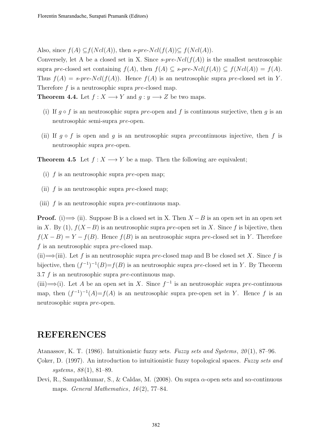Also, since  $f(A) \subseteq f(Ncl(A))$ , then s-pre-Ncl(f(A)) $\subseteq f(Ncl(A))$ .

Conversely, let A be a closed set in X. Since  $s$ -pre- $Ncl(f(A))$  is the smallest neutrosophic supra pre-closed set containing  $f(A)$ , then  $f(A) \subseteq s$ -pre- $Ncl(f(A)) \subseteq f(Ncl(A)) = f(A)$ . Thus  $f(A) = s$ -pre-Ncl(f(A)). Hence  $f(A)$  is an neutrosophic supra pre-closed set in Y. Therefore  $f$  is a neutrosophic supra pre-closed map.

**Theorem 4.4.** Let  $f : X \longrightarrow Y$  and  $g : y \longrightarrow Z$  be two maps.

- (i) If  $q \circ f$  is an neutrosophic supra pre-open and f is continuous surjective, then q is an neutrosophic semi-supra pre-open.
- (ii) If  $g \circ f$  is open and g is an neutrosophic supra precontinuous injective, then f is neutrosophic supra pre-open.

**Theorem 4.5** Let  $f : X \longrightarrow Y$  be a map. Then the following are equivalent;

- (i)  $f$  is an neutrosophic supra pre-open map;
- (ii)  $f$  is an neutrosophic supra pre-closed map;
- (iii)  $f$  is an neutrosophic supra pre-continuous map.

**Proof.** (i)  $\implies$  (ii). Suppose B is a closed set in X. Then  $X - B$  is an open set in an open set in X. By (1),  $f(X - B)$  is an neutrosophic supra pre-open set in X. Since f is bijective, then  $f(X - B) = Y - f(B)$ . Hence  $f(B)$  is an neutrosophic supra pre-closed set in Y. Therefore f is an neutrosophic supra pre-closed map.

(ii)  $\Longrightarrow$  (iii). Let f is an neutrosophic supra pre-closed map and B be closed set X. Since f is bijective, then  $(f^{-1})^{-1}(B) = f(B)$  is an neutrosophic supra pre-closed set in Y. By Theorem 3.7 f is an neutrosophic supra pre-continuous map.

(iii)  $\Longrightarrow$  (i). Let A be an open set in X. Since  $f^{-1}$  is an neutrosophic supra pre-continuous map, then  $(f^{-1})^{-1}(A) = f(A)$  is an neutrosophic supra pre-open set in Y. Hence f is an neutrosophic supra pre-open.

### REFERENCES

Atanassov, K. T. (1986). Intuitionistic fuzzy sets. Fuzzy sets and Systems,  $20(1)$ , 87–96.

- Coker, D. (1997). An introduction to intuitionistic fuzzy topological spaces. Fuzzy sets and systems, 88(1), 81–89.
- Devi, R., Sampathkumar, S., & Caldas, M. (2008). On supra  $\alpha$ -open sets and s $\alpha$ -continuous maps. *General Mathematics*, 16(2), 77–84.